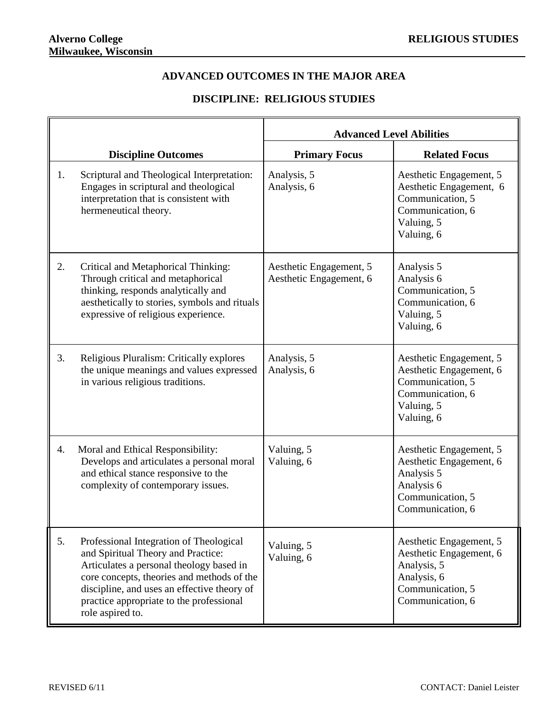## **ADVANCED OUTCOMES IN THE MAJOR AREA**

## **DISCIPLINE: RELIGIOUS STUDIES**

|    |                                                                                                                                                                                                                                                                                        | <b>Advanced Level Abilities</b>                    |                                                                                                                          |
|----|----------------------------------------------------------------------------------------------------------------------------------------------------------------------------------------------------------------------------------------------------------------------------------------|----------------------------------------------------|--------------------------------------------------------------------------------------------------------------------------|
|    | <b>Discipline Outcomes</b>                                                                                                                                                                                                                                                             | <b>Primary Focus</b>                               | <b>Related Focus</b>                                                                                                     |
| 1. | Scriptural and Theological Interpretation:<br>Engages in scriptural and theological<br>interpretation that is consistent with<br>hermeneutical theory.                                                                                                                                 | Analysis, 5<br>Analysis, 6                         | Aesthetic Engagement, 5<br>Aesthetic Engagement, 6<br>Communication, 5<br>Communication, 6<br>Valuing, 5<br>Valuing, 6   |
| 2. | Critical and Metaphorical Thinking:<br>Through critical and metaphorical<br>thinking, responds analytically and<br>aesthetically to stories, symbols and rituals<br>expressive of religious experience.                                                                                | Aesthetic Engagement, 5<br>Aesthetic Engagement, 6 | Analysis 5<br>Analysis 6<br>Communication, 5<br>Communication, 6<br>Valuing, 5<br>Valuing, 6                             |
| 3. | Religious Pluralism: Critically explores<br>the unique meanings and values expressed<br>in various religious traditions.                                                                                                                                                               | Analysis, 5<br>Analysis, 6                         | Aesthetic Engagement, 5<br>Aesthetic Engagement, 6<br>Communication, 5<br>Communication, 6<br>Valuing, 5<br>Valuing, 6   |
| 4. | Moral and Ethical Responsibility:<br>Develops and articulates a personal moral<br>and ethical stance responsive to the<br>complexity of contemporary issues.                                                                                                                           | Valuing, 5<br>Valuing, 6                           | Aesthetic Engagement, 5<br>Aesthetic Engagement, 6<br>Analysis 5<br>Analysis 6<br>Communication, 5<br>Communication, 6   |
| 5. | Professional Integration of Theological<br>and Spiritual Theory and Practice:<br>Articulates a personal theology based in<br>core concepts, theories and methods of the<br>discipline, and uses an effective theory of<br>practice appropriate to the professional<br>role aspired to. | Valuing, 5<br>Valuing, 6                           | Aesthetic Engagement, 5<br>Aesthetic Engagement, 6<br>Analysis, 5<br>Analysis, 6<br>Communication, 5<br>Communication, 6 |